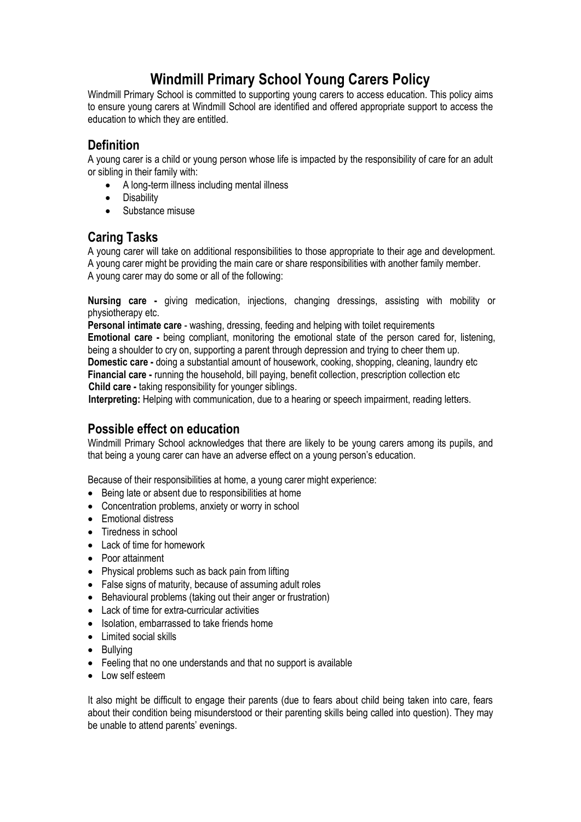# **Windmill Primary School Young Carers Policy**

Windmill Primary School is committed to supporting young carers to access education. This policy aims to ensure young carers at Windmill School are identified and offered appropriate support to access the education to which they are entitled.

## **Definition**

A young carer is a child or young person whose life is impacted by the responsibility of care for an adult or sibling in their family with:

- A long-term illness including mental illness
- Disability
- **Substance misuse**

### **Caring Tasks**

A young carer will take on additional responsibilities to those appropriate to their age and development. A young carer might be providing the main care or share responsibilities with another family member. A young carer may do some or all of the following:

**Nursing care -** giving medication, injections, changing dressings, assisting with mobility or physiotherapy etc.

**Personal intimate care** - washing, dressing, feeding and helping with toilet requirements **Emotional care -** being compliant, monitoring the emotional state of the person cared for, listening, being a shoulder to cry on, supporting a parent through depression and trying to cheer them up. **Domestic care -** doing a substantial amount of housework, cooking, shopping, cleaning, laundry etc **Financial care -** running the household, bill paying, benefit collection, prescription collection etc **Child care -** taking responsibility for younger siblings.

**Interpreting:** Helping with communication, due to a hearing or speech impairment, reading letters.

#### **Possible effect on education**

Windmill Primary School acknowledges that there are likely to be young carers among its pupils, and that being a young carer can have an adverse effect on a young person's education.

Because of their responsibilities at home, a young carer might experience:

- Being late or absent due to responsibilities at home
- Concentration problems, anxiety or worry in school
- Emotional distress
- Tiredness in school
- Lack of time for homework
- Poor attainment
- Physical problems such as back pain from lifting
- False signs of maturity, because of assuming adult roles
- Behavioural problems (taking out their anger or frustration)
- Lack of time for extra-curricular activities
- Isolation, embarrassed to take friends home
- Limited social skills
- Bullving
- Feeling that no one understands and that no support is available
- $\bullet$  Low self esteem

It also might be difficult to engage their parents (due to fears about child being taken into care, fears about their condition being misunderstood or their parenting skills being called into question). They may be unable to attend parents' evenings.